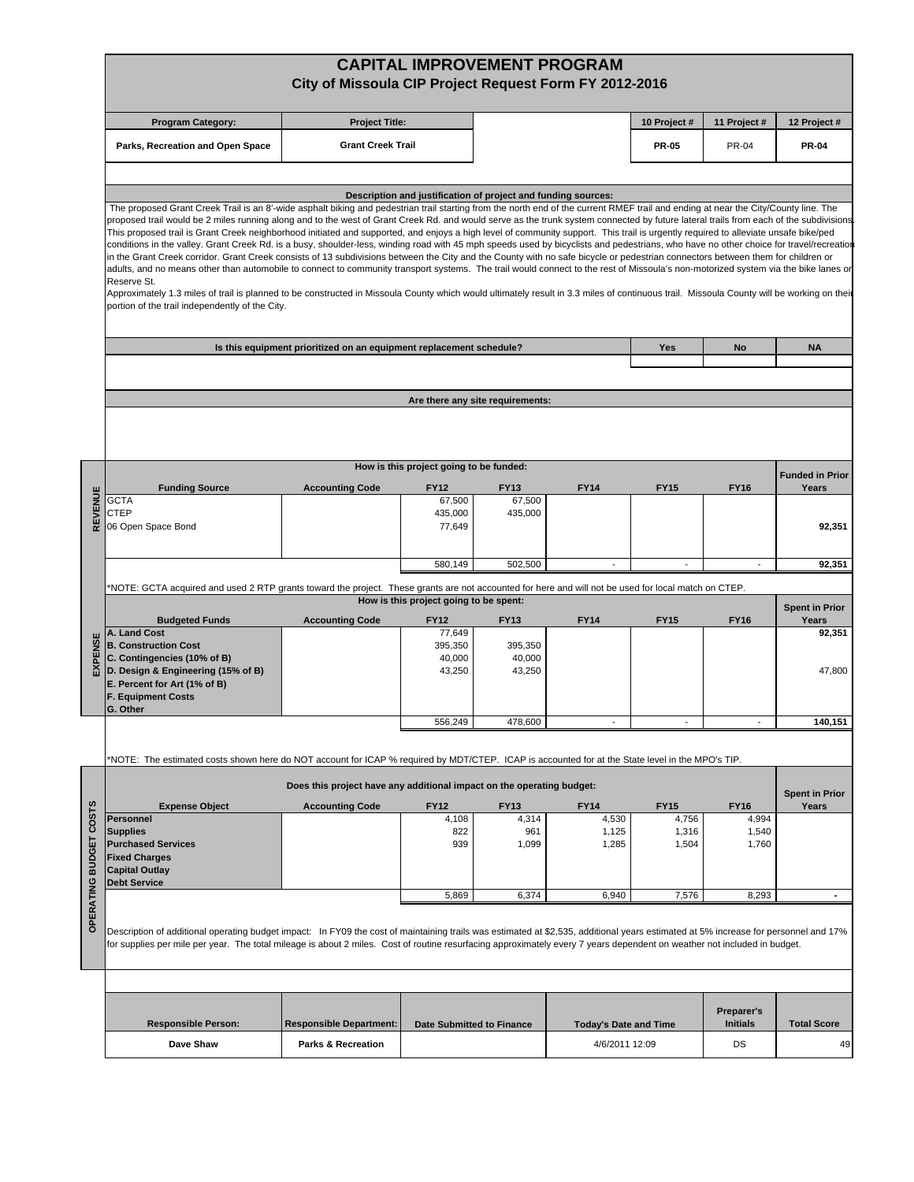|         |                                                                                                                                                                                                                                                                                                                                                                                                                                                                                                                                                                                                                                                                                                                                                                                                                                | City of Missoula CIP Project Request Form FY 2012-2016                |                                                               |                       | <b>CAPITAL IMPROVEMENT PROGRAM</b>             |                |                       |                                |  |  |  |  |  |
|---------|--------------------------------------------------------------------------------------------------------------------------------------------------------------------------------------------------------------------------------------------------------------------------------------------------------------------------------------------------------------------------------------------------------------------------------------------------------------------------------------------------------------------------------------------------------------------------------------------------------------------------------------------------------------------------------------------------------------------------------------------------------------------------------------------------------------------------------|-----------------------------------------------------------------------|---------------------------------------------------------------|-----------------------|------------------------------------------------|----------------|-----------------------|--------------------------------|--|--|--|--|--|
|         | <b>Program Category:</b>                                                                                                                                                                                                                                                                                                                                                                                                                                                                                                                                                                                                                                                                                                                                                                                                       | <b>Project Title:</b>                                                 |                                                               |                       |                                                | 10 Project #   | 11 Project #          | 12 Project #                   |  |  |  |  |  |
|         | Parks, Recreation and Open Space                                                                                                                                                                                                                                                                                                                                                                                                                                                                                                                                                                                                                                                                                                                                                                                               | <b>Grant Creek Trail</b>                                              |                                                               |                       |                                                | <b>PR-05</b>   | <b>PR-04</b>          | <b>PR-04</b>                   |  |  |  |  |  |
|         | The proposed Grant Creek Trail is an 8'-wide asphalt biking and pedestrian trail starting from the north end of the current RMEF trail and ending at near the City/County line. The<br>proposed trail would be 2 miles running along and to the west of Grant Creek Rd. and would serve as the trunk system connected by future lateral trails from each of the subdivisions<br>This proposed trail is Grant Creek neighborhood initiated and supported, and enjoys a high level of community support. This trail is urgently required to alleviate unsafe bike/ped                                                                                                                                                                                                                                                            |                                                                       | Description and justification of project and funding sources: |                       |                                                |                |                       |                                |  |  |  |  |  |
|         | conditions in the valley. Grant Creek Rd. is a busy, shoulder-less, winding road with 45 mph speeds used by bicyclists and pedestrians, who have no other choice for travel/recreatior<br>in the Grant Creek corridor. Grant Creek consists of 13 subdivisions between the City and the County with no safe bicycle or pedestrian connectors between them for children or<br>adults, and no means other than automobile to connect to community transport systems. The trail would connect to the rest of Missoula's non-motorized system via the bike lanes or<br>Reserve St.<br>Approximately 1.3 miles of trail is planned to be constructed in Missoula County which would ultimately result in 3.3 miles of continuous trail. Missoula County will be working on their<br>portion of the trail independently of the City. |                                                                       |                                                               |                       |                                                |                |                       |                                |  |  |  |  |  |
|         |                                                                                                                                                                                                                                                                                                                                                                                                                                                                                                                                                                                                                                                                                                                                                                                                                                | Is this equipment prioritized on an equipment replacement schedule?   |                                                               |                       |                                                | Yes            | No                    | <b>NA</b>                      |  |  |  |  |  |
|         |                                                                                                                                                                                                                                                                                                                                                                                                                                                                                                                                                                                                                                                                                                                                                                                                                                |                                                                       |                                                               |                       |                                                |                |                       |                                |  |  |  |  |  |
|         |                                                                                                                                                                                                                                                                                                                                                                                                                                                                                                                                                                                                                                                                                                                                                                                                                                | Are there any site requirements:                                      |                                                               |                       |                                                |                |                       |                                |  |  |  |  |  |
|         |                                                                                                                                                                                                                                                                                                                                                                                                                                                                                                                                                                                                                                                                                                                                                                                                                                |                                                                       |                                                               |                       |                                                |                |                       |                                |  |  |  |  |  |
|         |                                                                                                                                                                                                                                                                                                                                                                                                                                                                                                                                                                                                                                                                                                                                                                                                                                |                                                                       | How is this project going to be funded:                       |                       |                                                |                |                       | <b>Funded in Prior</b>         |  |  |  |  |  |
|         | <b>Funding Source</b><br><b>GCTA</b>                                                                                                                                                                                                                                                                                                                                                                                                                                                                                                                                                                                                                                                                                                                                                                                           | <b>Accounting Code</b>                                                | <b>FY12</b><br>67,500                                         | <b>FY13</b><br>67,500 | <b>FY14</b>                                    | <b>FY15</b>    | <b>FY16</b>           | Years                          |  |  |  |  |  |
|         | <b>CTEP</b>                                                                                                                                                                                                                                                                                                                                                                                                                                                                                                                                                                                                                                                                                                                                                                                                                    |                                                                       | 435,000                                                       | 435,000               |                                                |                |                       |                                |  |  |  |  |  |
|         | 06 Open Space Bond                                                                                                                                                                                                                                                                                                                                                                                                                                                                                                                                                                                                                                                                                                                                                                                                             |                                                                       | 77,649                                                        |                       |                                                |                |                       | 92,351                         |  |  |  |  |  |
|         |                                                                                                                                                                                                                                                                                                                                                                                                                                                                                                                                                                                                                                                                                                                                                                                                                                |                                                                       | 580,149                                                       | 502,500               |                                                |                |                       | 92,351                         |  |  |  |  |  |
|         |                                                                                                                                                                                                                                                                                                                                                                                                                                                                                                                                                                                                                                                                                                                                                                                                                                |                                                                       |                                                               |                       |                                                |                |                       |                                |  |  |  |  |  |
|         | *NOTE: GCTA acquired and used 2 RTP grants toward the project. These grants are not accounted for here and will not be used for local match on CTEP.<br>How is this project going to be spent:                                                                                                                                                                                                                                                                                                                                                                                                                                                                                                                                                                                                                                 |                                                                       |                                                               |                       |                                                |                |                       |                                |  |  |  |  |  |
|         | <b>Budgeted Funds</b>                                                                                                                                                                                                                                                                                                                                                                                                                                                                                                                                                                                                                                                                                                                                                                                                          | <b>Accounting Code</b>                                                | <b>FY12</b>                                                   | <b>FY13</b>           | <b>FY14</b>                                    | <b>FY15</b>    | <b>FY16</b>           | <b>Spent in Prior</b><br>Years |  |  |  |  |  |
| EXPENSE | A. Land Cost                                                                                                                                                                                                                                                                                                                                                                                                                                                                                                                                                                                                                                                                                                                                                                                                                   |                                                                       | 77,649                                                        |                       |                                                |                |                       | 92,351                         |  |  |  |  |  |
|         | <b>B. Construction Cost</b><br>C. Contingencies (10% of B)                                                                                                                                                                                                                                                                                                                                                                                                                                                                                                                                                                                                                                                                                                                                                                     |                                                                       | 395,350<br>40,000                                             | 395,350<br>40,000     |                                                |                |                       |                                |  |  |  |  |  |
|         | D. Design & Engineering (15% of B)<br>E. Percent for Art (1% of B)<br><b>F. Equipment Costs</b><br>G. Other                                                                                                                                                                                                                                                                                                                                                                                                                                                                                                                                                                                                                                                                                                                    |                                                                       | 43,250                                                        | 43,250                |                                                |                |                       | 47,800                         |  |  |  |  |  |
|         |                                                                                                                                                                                                                                                                                                                                                                                                                                                                                                                                                                                                                                                                                                                                                                                                                                |                                                                       | 556,249                                                       | 478,600               |                                                |                |                       | 140,151                        |  |  |  |  |  |
|         |                                                                                                                                                                                                                                                                                                                                                                                                                                                                                                                                                                                                                                                                                                                                                                                                                                |                                                                       |                                                               |                       |                                                |                |                       |                                |  |  |  |  |  |
|         | *NOTE: The estimated costs shown here do NOT account for ICAP % required by MDT/CTEP. ICAP is accounted for at the State level in the MPO's TIP.                                                                                                                                                                                                                                                                                                                                                                                                                                                                                                                                                                                                                                                                               |                                                                       |                                                               |                       |                                                |                |                       |                                |  |  |  |  |  |
|         |                                                                                                                                                                                                                                                                                                                                                                                                                                                                                                                                                                                                                                                                                                                                                                                                                                | Does this project have any additional impact on the operating budget: |                                                               |                       |                                                |                |                       |                                |  |  |  |  |  |
|         | <b>Expense Object</b>                                                                                                                                                                                                                                                                                                                                                                                                                                                                                                                                                                                                                                                                                                                                                                                                          | <b>Accounting Code</b>                                                | <b>FY12</b>                                                   | <b>FY13</b>           | <b>FY14</b>                                    | <b>FY15</b>    | <b>FY16</b>           | <b>Spent in Prior</b><br>Years |  |  |  |  |  |
|         | <b>Personnel</b>                                                                                                                                                                                                                                                                                                                                                                                                                                                                                                                                                                                                                                                                                                                                                                                                               |                                                                       | 4,108                                                         | 4,314                 | 4,530                                          | 4,756          | 4,994                 |                                |  |  |  |  |  |
|         | <b>Supplies</b><br><b>Purchased Services</b>                                                                                                                                                                                                                                                                                                                                                                                                                                                                                                                                                                                                                                                                                                                                                                                   |                                                                       | 822<br>939                                                    | 961<br>1,099          | 1,125<br>1,285                                 | 1,316<br>1,504 | 1,540<br>1,760        |                                |  |  |  |  |  |
|         | <b>Fixed Charges</b>                                                                                                                                                                                                                                                                                                                                                                                                                                                                                                                                                                                                                                                                                                                                                                                                           |                                                                       |                                                               |                       |                                                |                |                       |                                |  |  |  |  |  |
|         | <b>Capital Outlay</b><br><b>Debt Service</b>                                                                                                                                                                                                                                                                                                                                                                                                                                                                                                                                                                                                                                                                                                                                                                                   |                                                                       |                                                               |                       |                                                |                |                       |                                |  |  |  |  |  |
|         |                                                                                                                                                                                                                                                                                                                                                                                                                                                                                                                                                                                                                                                                                                                                                                                                                                |                                                                       | 5,869                                                         | 6,374                 | 6,940                                          | 7,576          | 8,293                 | $\overline{\phantom{a}}$       |  |  |  |  |  |
|         | Description of additional operating budget impact: In FY09 the cost of maintaining trails was estimated at \$2,535, additional years estimated at 5% increase for personnel and 17%<br>for supplies per mile per year. The total mileage is about 2 miles. Cost of routine resurfacing approximately every 7 years dependent on weather not included in budget.                                                                                                                                                                                                                                                                                                                                                                                                                                                                |                                                                       |                                                               |                       |                                                |                |                       |                                |  |  |  |  |  |
|         |                                                                                                                                                                                                                                                                                                                                                                                                                                                                                                                                                                                                                                                                                                                                                                                                                                |                                                                       |                                                               |                       |                                                |                |                       |                                |  |  |  |  |  |
|         |                                                                                                                                                                                                                                                                                                                                                                                                                                                                                                                                                                                                                                                                                                                                                                                                                                |                                                                       |                                                               |                       |                                                |                |                       |                                |  |  |  |  |  |
|         |                                                                                                                                                                                                                                                                                                                                                                                                                                                                                                                                                                                                                                                                                                                                                                                                                                |                                                                       |                                                               |                       |                                                |                | Preparer's            |                                |  |  |  |  |  |
|         | <b>Responsible Person:</b><br>Dave Shaw                                                                                                                                                                                                                                                                                                                                                                                                                                                                                                                                                                                                                                                                                                                                                                                        | <b>Responsible Department:</b><br><b>Parks &amp; Recreation</b>       | <b>Date Submitted to Finance</b>                              |                       | <b>Today's Date and Time</b><br>4/6/2011 12:09 |                | <b>Initials</b><br>DS | <b>Total Score</b><br>49       |  |  |  |  |  |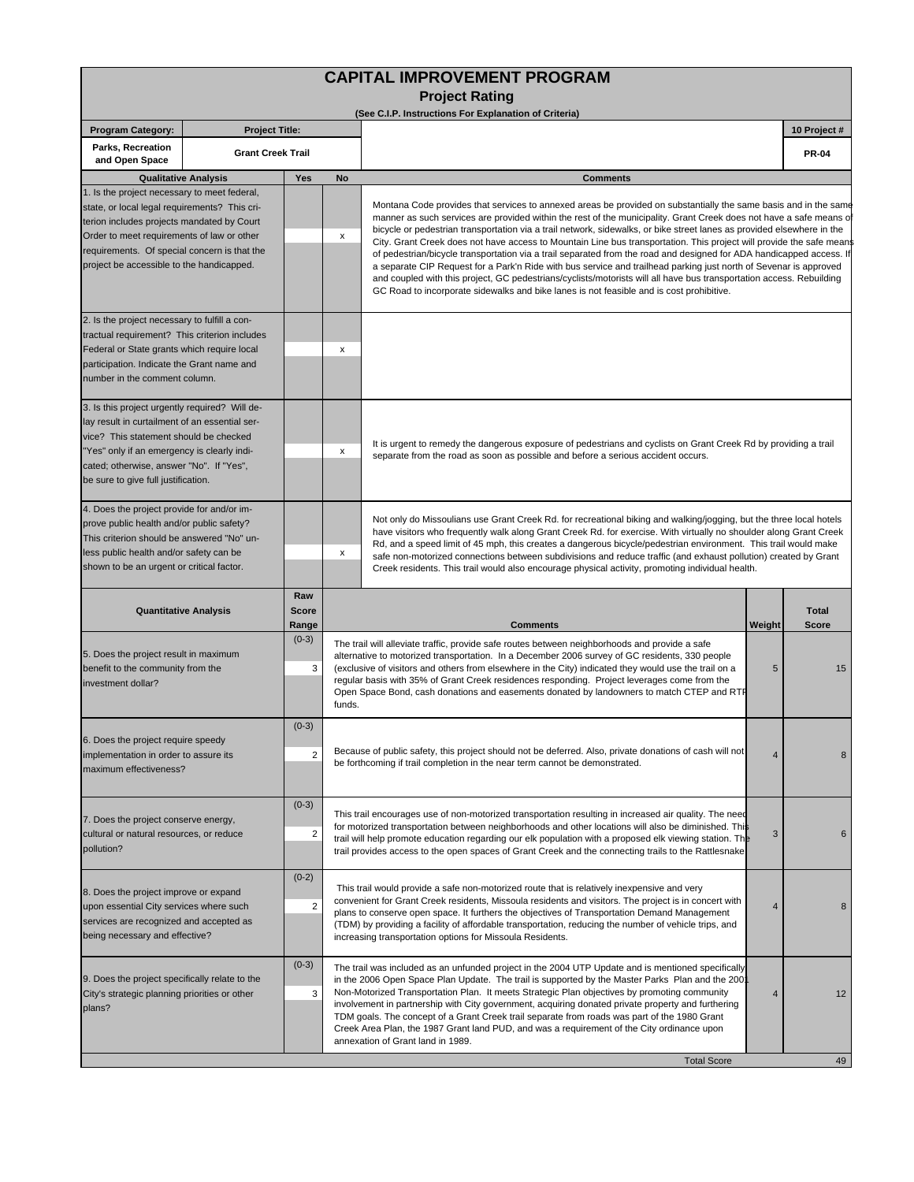| <b>CAPITAL IMPROVEMENT PROGRAM</b>                                                                                                                                                                                                                                                     |                          |              |                                                                                                                                                                                                                                                                                                                                                                                                                                                                                                                  |                                                                                                                                                                                                                                                                                                                                                                                                                                                                                                                                                                                                                                                                                                                                                                                                                                                                                                                                                           |                              |              |  |  |  |
|----------------------------------------------------------------------------------------------------------------------------------------------------------------------------------------------------------------------------------------------------------------------------------------|--------------------------|--------------|------------------------------------------------------------------------------------------------------------------------------------------------------------------------------------------------------------------------------------------------------------------------------------------------------------------------------------------------------------------------------------------------------------------------------------------------------------------------------------------------------------------|-----------------------------------------------------------------------------------------------------------------------------------------------------------------------------------------------------------------------------------------------------------------------------------------------------------------------------------------------------------------------------------------------------------------------------------------------------------------------------------------------------------------------------------------------------------------------------------------------------------------------------------------------------------------------------------------------------------------------------------------------------------------------------------------------------------------------------------------------------------------------------------------------------------------------------------------------------------|------------------------------|--------------|--|--|--|
|                                                                                                                                                                                                                                                                                        |                          |              |                                                                                                                                                                                                                                                                                                                                                                                                                                                                                                                  | <b>Project Rating</b><br>(See C.I.P. Instructions For Explanation of Criteria)                                                                                                                                                                                                                                                                                                                                                                                                                                                                                                                                                                                                                                                                                                                                                                                                                                                                            |                              |              |  |  |  |
| <b>Program Category:</b>                                                                                                                                                                                                                                                               | <b>Project Title:</b>    |              |                                                                                                                                                                                                                                                                                                                                                                                                                                                                                                                  |                                                                                                                                                                                                                                                                                                                                                                                                                                                                                                                                                                                                                                                                                                                                                                                                                                                                                                                                                           |                              | 10 Project # |  |  |  |
| Parks, Recreation<br>and Open Space                                                                                                                                                                                                                                                    | <b>Grant Creek Trail</b> |              |                                                                                                                                                                                                                                                                                                                                                                                                                                                                                                                  |                                                                                                                                                                                                                                                                                                                                                                                                                                                                                                                                                                                                                                                                                                                                                                                                                                                                                                                                                           |                              | <b>PR-04</b> |  |  |  |
| Yes<br><b>Qualitative Analysis</b><br><b>No</b>                                                                                                                                                                                                                                        |                          |              | <b>Comments</b>                                                                                                                                                                                                                                                                                                                                                                                                                                                                                                  |                                                                                                                                                                                                                                                                                                                                                                                                                                                                                                                                                                                                                                                                                                                                                                                                                                                                                                                                                           |                              |              |  |  |  |
| 1. Is the project necessary to meet federal,<br>state, or local legal requirements? This cri-<br>terion includes projects mandated by Court<br>Order to meet requirements of law or other<br>requirements. Of special concern is that the<br>project be accessible to the handicapped. |                          |              | X                                                                                                                                                                                                                                                                                                                                                                                                                                                                                                                | Montana Code provides that services to annexed areas be provided on substantially the same basis and in the same<br>manner as such services are provided within the rest of the municipality. Grant Creek does not have a safe means o<br>bicycle or pedestrian transportation via a trail network, sidewalks, or bike street lanes as provided elsewhere in the<br>City. Grant Creek does not have access to Mountain Line bus transportation. This project will provide the safe means<br>of pedestrian/bicycle transportation via a trail separated from the road and designed for ADA handicapped access. It<br>a separate CIP Request for a Park'n Ride with bus service and trailhead parking just north of Sevenar is approved<br>and coupled with this project, GC pedestrians/cyclists/motorists will all have bus transportation access. Rebuilding<br>GC Road to incorporate sidewalks and bike lanes is not feasible and is cost prohibitive. |                              |              |  |  |  |
| 2. Is the project necessary to fulfill a con-<br>tractual requirement? This criterion includes<br>Federal or State grants which require local<br>participation. Indicate the Grant name and<br>number in the comment column.                                                           |                          |              | х                                                                                                                                                                                                                                                                                                                                                                                                                                                                                                                |                                                                                                                                                                                                                                                                                                                                                                                                                                                                                                                                                                                                                                                                                                                                                                                                                                                                                                                                                           |                              |              |  |  |  |
| 3. Is this project urgently required? Will de-<br>lay result in curtailment of an essential ser-<br>vice? This statement should be checked<br>"Yes" only if an emergency is clearly indi-<br>cated; otherwise, answer "No". If "Yes",<br>be sure to give full justification.           |                          |              | x                                                                                                                                                                                                                                                                                                                                                                                                                                                                                                                | It is urgent to remedy the dangerous exposure of pedestrians and cyclists on Grant Creek Rd by providing a trail<br>separate from the road as soon as possible and before a serious accident occurs.                                                                                                                                                                                                                                                                                                                                                                                                                                                                                                                                                                                                                                                                                                                                                      |                              |              |  |  |  |
| 4. Does the project provide for and/or im-<br>prove public health and/or public safety?<br>This criterion should be answered "No" un-<br>less public health and/or safety can be<br>shown to be an urgent or critical factor.                                                          |                          |              | х                                                                                                                                                                                                                                                                                                                                                                                                                                                                                                                | Not only do Missoulians use Grant Creek Rd. for recreational biking and walking/jogging, but the three local hotels<br>have visitors who frequently walk along Grant Creek Rd. for exercise. With virtually no shoulder along Grant Creek<br>Rd, and a speed limit of 45 mph, this creates a dangerous bicycle/pedestrian environment. This trail would make<br>safe non-motorized connections between subdivisions and reduce traffic (and exhaust pollution) created by Grant<br>Creek residents. This trail would also encourage physical activity, promoting individual health.                                                                                                                                                                                                                                                                                                                                                                       |                              |              |  |  |  |
| Raw<br><b>Score</b><br><b>Quantitative Analysis</b><br>Range                                                                                                                                                                                                                           |                          |              | <b>Comments</b>                                                                                                                                                                                                                                                                                                                                                                                                                                                                                                  | Weight                                                                                                                                                                                                                                                                                                                                                                                                                                                                                                                                                                                                                                                                                                                                                                                                                                                                                                                                                    | <b>Total</b><br><b>Score</b> |              |  |  |  |
| 5. Does the project result in maximum<br>benefit to the community from the<br>investment dollar?                                                                                                                                                                                       |                          | $(0-3)$<br>3 | The trail will alleviate traffic, provide safe routes between neighborhoods and provide a safe<br>alternative to motorized transportation. In a December 2006 survey of GC residents, 330 people<br>(exclusive of visitors and others from elsewhere in the City) indicated they would use the trail on a<br>regular basis with 35% of Grant Creek residences responding. Project leverages come from the<br>Open Space Bond, cash donations and easements donated by landowners to match CTEP and RTF<br>funds. | 5                                                                                                                                                                                                                                                                                                                                                                                                                                                                                                                                                                                                                                                                                                                                                                                                                                                                                                                                                         | 15                           |              |  |  |  |
| $(0-3)$<br>6. Does the project require speedy<br>$\overline{2}$<br>implementation in order to assure its<br>maximum effectiveness?                                                                                                                                                     |                          |              | Because of public safety, this project should not be deferred. Also, private donations of cash will not<br>be forthcoming if trail completion in the near term cannot be demonstrated.                                                                                                                                                                                                                                                                                                                           | 4                                                                                                                                                                                                                                                                                                                                                                                                                                                                                                                                                                                                                                                                                                                                                                                                                                                                                                                                                         | 8                            |              |  |  |  |
| $(0-3)$<br>7. Does the project conserve energy,<br>$\overline{\mathbf{c}}$<br>cultural or natural resources, or reduce<br>pollution?                                                                                                                                                   |                          |              | This trail encourages use of non-motorized transportation resulting in increased air quality. The need<br>for motorized transportation between neighborhoods and other locations will also be diminished. This<br>trail will help promote education regarding our elk population with a proposed elk viewing station. The<br>trail provides access to the open spaces of Grant Creek and the connecting trails to the Rattlesnake                                                                                | 3                                                                                                                                                                                                                                                                                                                                                                                                                                                                                                                                                                                                                                                                                                                                                                                                                                                                                                                                                         | 6                            |              |  |  |  |
| $(0-2)$<br>8. Does the project improve or expand<br>$\overline{2}$<br>upon essential City services where such<br>services are recognized and accepted as<br>being necessary and effective?                                                                                             |                          |              | This trail would provide a safe non-motorized route that is relatively inexpensive and very<br>convenient for Grant Creek residents, Missoula residents and visitors. The project is in concert with<br>plans to conserve open space. It furthers the objectives of Transportation Demand Management<br>(TDM) by providing a facility of affordable transportation, reducing the number of vehicle trips, and<br>increasing transportation options for Missoula Residents.                                       | $\overline{4}$                                                                                                                                                                                                                                                                                                                                                                                                                                                                                                                                                                                                                                                                                                                                                                                                                                                                                                                                            | 8                            |              |  |  |  |
| 9. Does the project specifically relate to the<br>City's strategic planning priorities or other<br>plans?                                                                                                                                                                              |                          | $(0-3)$<br>3 |                                                                                                                                                                                                                                                                                                                                                                                                                                                                                                                  | The trail was included as an unfunded project in the 2004 UTP Update and is mentioned specifically<br>in the 2006 Open Space Plan Update. The trail is supported by the Master Parks Plan and the 200<br>Non-Motorized Transportation Plan. It meets Strategic Plan objectives by promoting community<br>4<br>involvement in partnership with City government, acquiring donated private property and furthering<br>TDM goals. The concept of a Grant Creek trail separate from roads was part of the 1980 Grant<br>Creek Area Plan, the 1987 Grant land PUD, and was a requirement of the City ordinance upon<br>annexation of Grant land in 1989.                                                                                                                                                                                                                                                                                                       |                              |              |  |  |  |
|                                                                                                                                                                                                                                                                                        |                          |              |                                                                                                                                                                                                                                                                                                                                                                                                                                                                                                                  | <b>Total Score</b>                                                                                                                                                                                                                                                                                                                                                                                                                                                                                                                                                                                                                                                                                                                                                                                                                                                                                                                                        |                              | 49           |  |  |  |